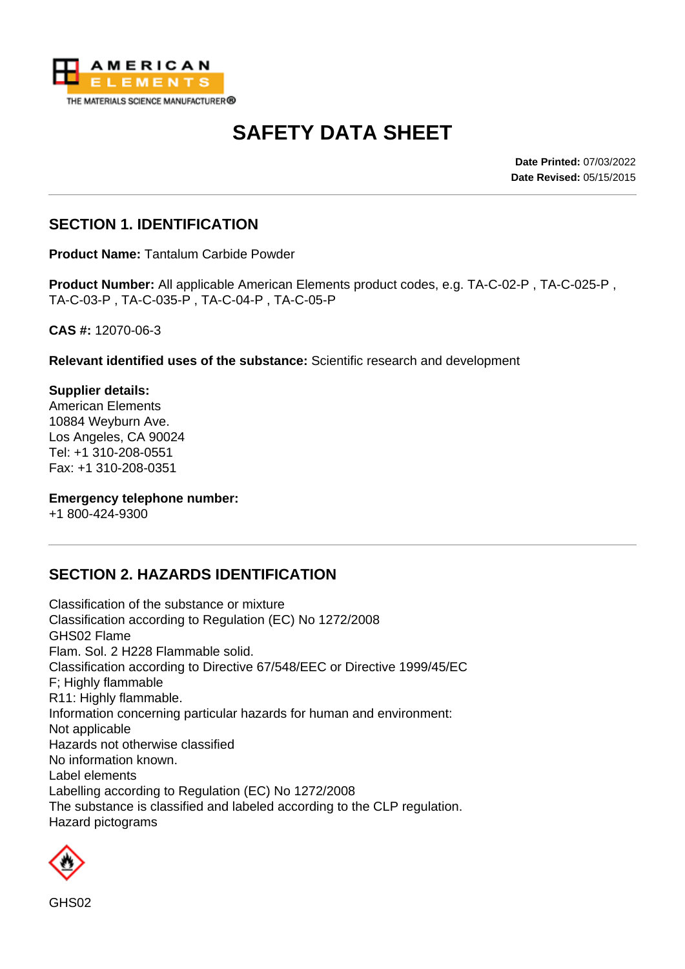

# **SAFETY DATA SHEET**

**Date Printed:** 07/03/2022 **Date Revised:** 05/15/2015

### **SECTION 1. IDENTIFICATION**

**Product Name:** Tantalum Carbide Powder

**Product Number:** All applicable American Elements product codes, e.g. TA-C-02-P , TA-C-025-P , TA-C-03-P , TA-C-035-P , TA-C-04-P , TA-C-05-P

**CAS #:** 12070-06-3

**Relevant identified uses of the substance:** Scientific research and development

**Supplier details:** American Elements 10884 Weyburn Ave. Los Angeles, CA 90024 Tel: +1 310-208-0551 Fax: +1 310-208-0351

#### **Emergency telephone number:**

+1 800-424-9300

#### **SECTION 2. HAZARDS IDENTIFICATION**

Classification of the substance or mixture Classification according to Regulation (EC) No 1272/2008 GHS02 Flame Flam. Sol. 2 H228 Flammable solid. Classification according to Directive 67/548/EEC or Directive 1999/45/EC F; Highly flammable R11: Highly flammable. Information concerning particular hazards for human and environment: Not applicable Hazards not otherwise classified No information known. Label elements Labelling according to Regulation (EC) No 1272/2008 The substance is classified and labeled according to the CLP regulation. Hazard pictograms

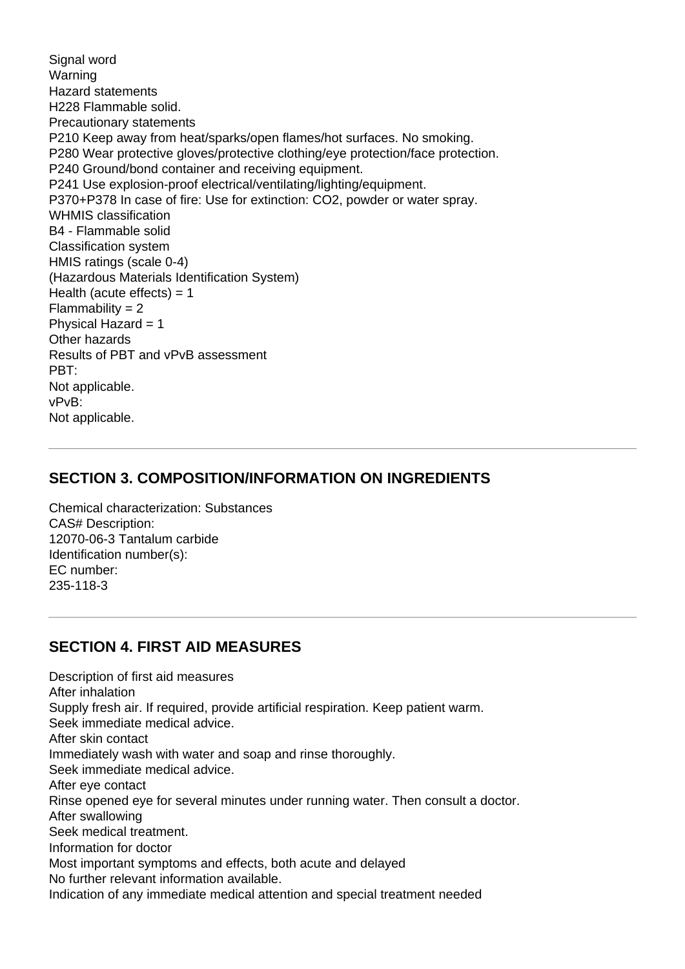Signal word Warning Hazard statements H228 Flammable solid. Precautionary statements P210 Keep away from heat/sparks/open flames/hot surfaces. No smoking. P280 Wear protective gloves/protective clothing/eye protection/face protection. P240 Ground/bond container and receiving equipment. P241 Use explosion-proof electrical/ventilating/lighting/equipment. P370+P378 In case of fire: Use for extinction: CO2, powder or water spray. WHMIS classification B4 - Flammable solid Classification system HMIS ratings (scale 0-4) (Hazardous Materials Identification System) Health (acute effects)  $= 1$  $Flammability = 2$ Physical Hazard = 1 Other hazards Results of PBT and vPvB assessment PBT: Not applicable. vPvB: Not applicable.

#### **SECTION 3. COMPOSITION/INFORMATION ON INGREDIENTS**

Chemical characterization: Substances CAS# Description: 12070-06-3 Tantalum carbide Identification number(s): EC number: 235-118-3

#### **SECTION 4. FIRST AID MEASURES**

Description of first aid measures After inhalation Supply fresh air. If required, provide artificial respiration. Keep patient warm. Seek immediate medical advice. After skin contact Immediately wash with water and soap and rinse thoroughly. Seek immediate medical advice. After eye contact Rinse opened eye for several minutes under running water. Then consult a doctor. After swallowing Seek medical treatment. Information for doctor Most important symptoms and effects, both acute and delayed No further relevant information available. Indication of any immediate medical attention and special treatment needed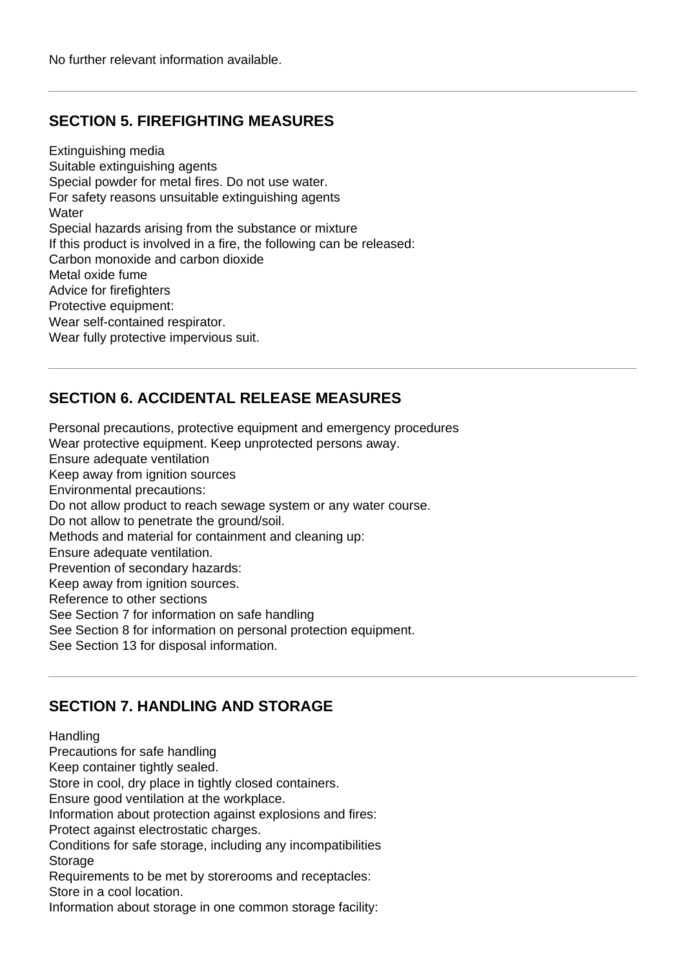### **SECTION 5. FIREFIGHTING MEASURES**

Extinguishing media Suitable extinguishing agents Special powder for metal fires. Do not use water. For safety reasons unsuitable extinguishing agents **Water** Special hazards arising from the substance or mixture If this product is involved in a fire, the following can be released: Carbon monoxide and carbon dioxide Metal oxide fume Advice for firefighters Protective equipment: Wear self-contained respirator. Wear fully protective impervious suit.

# **SECTION 6. ACCIDENTAL RELEASE MEASURES**

Personal precautions, protective equipment and emergency procedures Wear protective equipment. Keep unprotected persons away. Ensure adequate ventilation Keep away from ignition sources Environmental precautions: Do not allow product to reach sewage system or any water course. Do not allow to penetrate the ground/soil. Methods and material for containment and cleaning up: Ensure adequate ventilation. Prevention of secondary hazards: Keep away from ignition sources. Reference to other sections See Section 7 for information on safe handling See Section 8 for information on personal protection equipment. See Section 13 for disposal information.

# **SECTION 7. HANDLING AND STORAGE**

#### **Handling**

Precautions for safe handling

Keep container tightly sealed.

Store in cool, dry place in tightly closed containers.

Ensure good ventilation at the workplace.

Information about protection against explosions and fires:

Protect against electrostatic charges.

Conditions for safe storage, including any incompatibilities **Storage** 

Requirements to be met by storerooms and receptacles: Store in a cool location.

Information about storage in one common storage facility: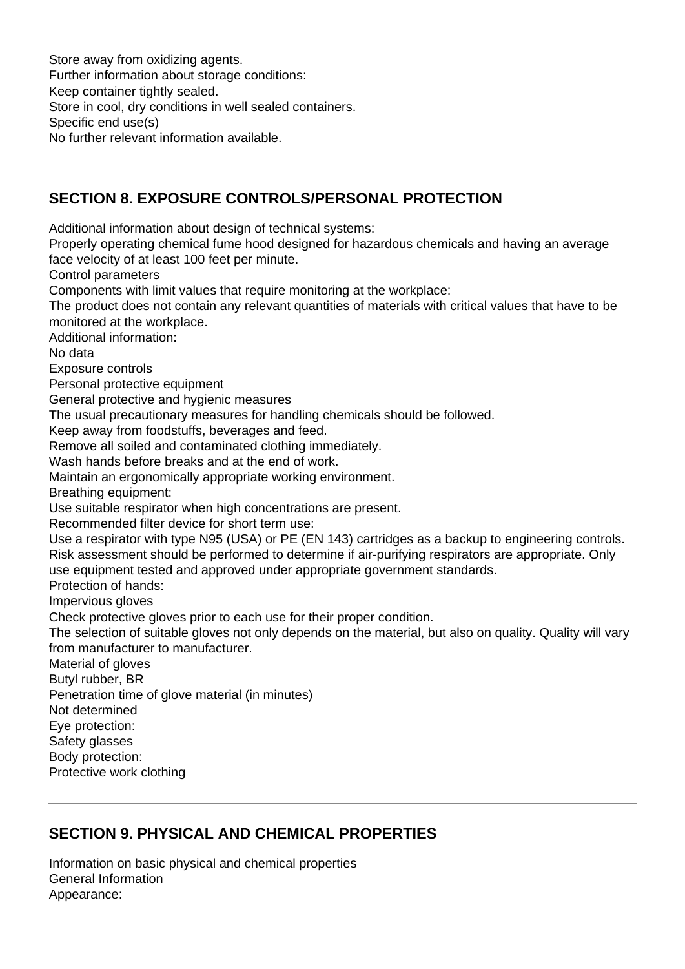Store away from oxidizing agents. Further information about storage conditions: Keep container tightly sealed. Store in cool, dry conditions in well sealed containers. Specific end use(s) No further relevant information available.

# **SECTION 8. EXPOSURE CONTROLS/PERSONAL PROTECTION**

Additional information about design of technical systems:

Properly operating chemical fume hood designed for hazardous chemicals and having an average face velocity of at least 100 feet per minute.

Control parameters

Components with limit values that require monitoring at the workplace:

The product does not contain any relevant quantities of materials with critical values that have to be monitored at the workplace.

Additional information:

No data

Exposure controls

Personal protective equipment

General protective and hygienic measures

The usual precautionary measures for handling chemicals should be followed.

Keep away from foodstuffs, beverages and feed.

Remove all soiled and contaminated clothing immediately.

Wash hands before breaks and at the end of work.

Maintain an ergonomically appropriate working environment.

Breathing equipment:

Use suitable respirator when high concentrations are present.

Recommended filter device for short term use:

Use a respirator with type N95 (USA) or PE (EN 143) cartridges as a backup to engineering controls. Risk assessment should be performed to determine if air-purifying respirators are appropriate. Only use equipment tested and approved under appropriate government standards.

Protection of hands:

Impervious gloves

Check protective gloves prior to each use for their proper condition.

The selection of suitable gloves not only depends on the material, but also on quality. Quality will vary from manufacturer to manufacturer.

Material of gloves

Butyl rubber, BR

Penetration time of glove material (in minutes)

Not determined

Eye protection:

Safety glasses

Body protection:

Protective work clothing

# **SECTION 9. PHYSICAL AND CHEMICAL PROPERTIES**

Information on basic physical and chemical properties General Information Appearance: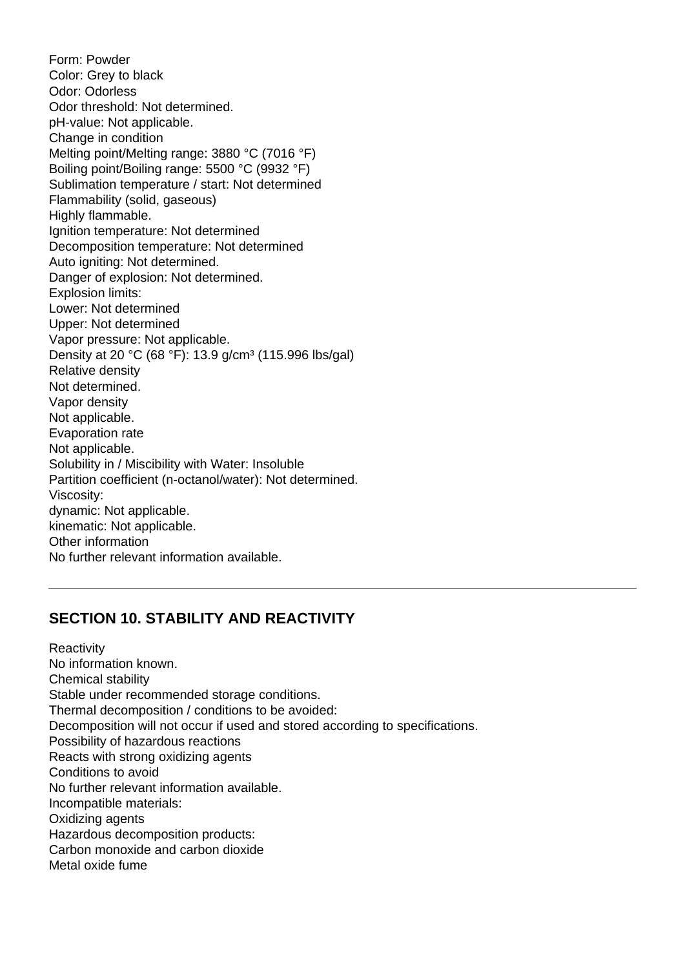Form: Powder Color: Grey to black Odor: Odorless Odor threshold: Not determined. pH-value: Not applicable. Change in condition Melting point/Melting range: 3880 °C (7016 °F) Boiling point/Boiling range: 5500 °C (9932 °F) Sublimation temperature / start: Not determined Flammability (solid, gaseous) Highly flammable. Ignition temperature: Not determined Decomposition temperature: Not determined Auto igniting: Not determined. Danger of explosion: Not determined. Explosion limits: Lower: Not determined Upper: Not determined Vapor pressure: Not applicable. Density at 20 °C (68 °F): 13.9 g/cm<sup>3</sup> (115.996 lbs/gal) Relative density Not determined. Vapor density Not applicable. Evaporation rate Not applicable. Solubility in / Miscibility with Water: Insoluble Partition coefficient (n-octanol/water): Not determined. Viscosity: dynamic: Not applicable. kinematic: Not applicable. Other information No further relevant information available.

#### **SECTION 10. STABILITY AND REACTIVITY**

**Reactivity** No information known. Chemical stability Stable under recommended storage conditions. Thermal decomposition / conditions to be avoided: Decomposition will not occur if used and stored according to specifications. Possibility of hazardous reactions Reacts with strong oxidizing agents Conditions to avoid No further relevant information available. Incompatible materials: Oxidizing agents Hazardous decomposition products: Carbon monoxide and carbon dioxide Metal oxide fume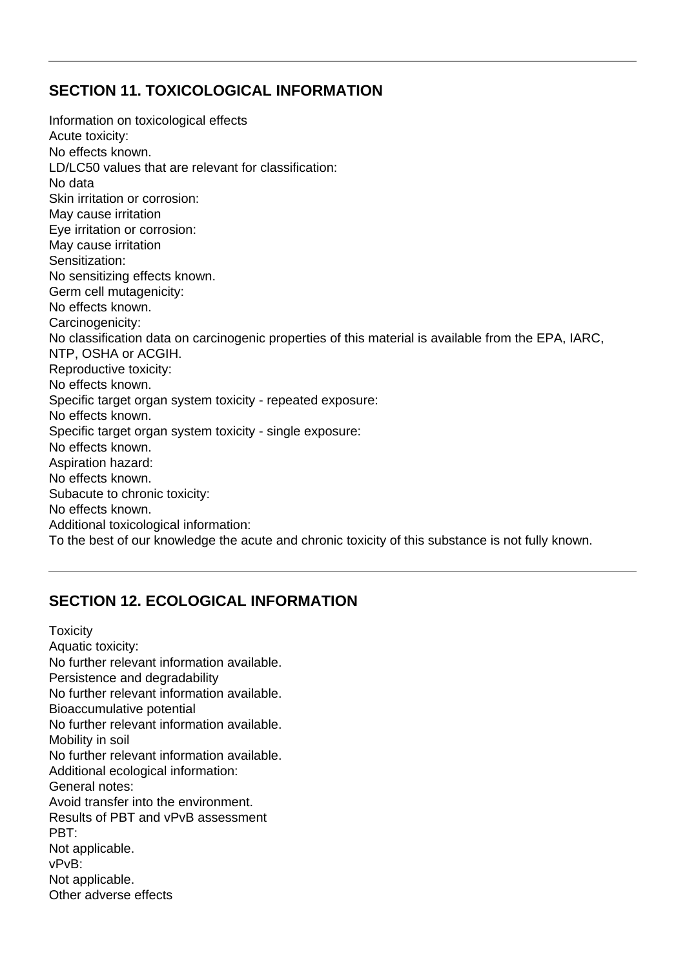### **SECTION 11. TOXICOLOGICAL INFORMATION**

Information on toxicological effects Acute toxicity: No effects known. LD/LC50 values that are relevant for classification: No data Skin irritation or corrosion: May cause irritation Eye irritation or corrosion: May cause irritation Sensitization: No sensitizing effects known. Germ cell mutagenicity: No effects known. Carcinogenicity: No classification data on carcinogenic properties of this material is available from the EPA, IARC, NTP, OSHA or ACGIH. Reproductive toxicity: No effects known. Specific target organ system toxicity - repeated exposure: No effects known. Specific target organ system toxicity - single exposure: No effects known. Aspiration hazard: No effects known. Subacute to chronic toxicity: No effects known. Additional toxicological information: To the best of our knowledge the acute and chronic toxicity of this substance is not fully known.

# **SECTION 12. ECOLOGICAL INFORMATION**

**Toxicity** Aquatic toxicity: No further relevant information available. Persistence and degradability No further relevant information available. Bioaccumulative potential No further relevant information available. Mobility in soil No further relevant information available. Additional ecological information: General notes: Avoid transfer into the environment. Results of PBT and vPvB assessment PBT: Not applicable. vPvB: Not applicable. Other adverse effects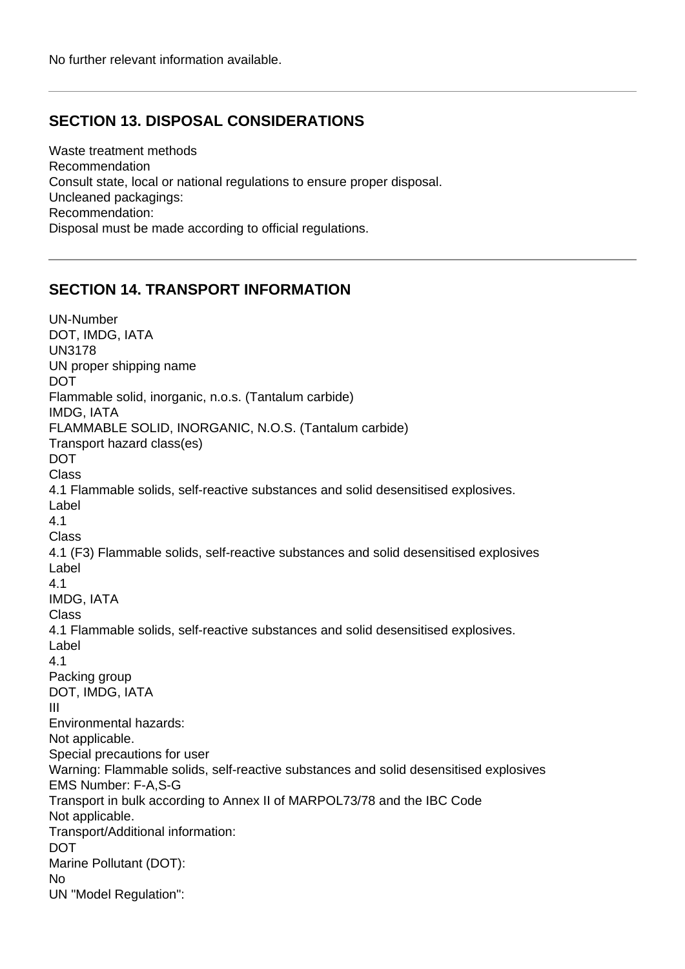#### **SECTION 13. DISPOSAL CONSIDERATIONS**

Waste treatment methods Recommendation Consult state, local or national regulations to ensure proper disposal. Uncleaned packagings: Recommendation: Disposal must be made according to official regulations.

#### **SECTION 14. TRANSPORT INFORMATION**

UN-Number DOT, IMDG, IATA UN3178 UN proper shipping name DOT Flammable solid, inorganic, n.o.s. (Tantalum carbide) IMDG, IATA FLAMMABLE SOLID, INORGANIC, N.O.S. (Tantalum carbide) Transport hazard class(es) DOT Class 4.1 Flammable solids, self-reactive substances and solid desensitised explosives. Label 4.1 Class 4.1 (F3) Flammable solids, self-reactive substances and solid desensitised explosives Label 4.1 IMDG, IATA Class 4.1 Flammable solids, self-reactive substances and solid desensitised explosives. Label 4.1 Packing group DOT, IMDG, IATA III Environmental hazards: Not applicable. Special precautions for user Warning: Flammable solids, self-reactive substances and solid desensitised explosives EMS Number: F-A,S-G Transport in bulk according to Annex II of MARPOL73/78 and the IBC Code Not applicable. Transport/Additional information: DOT Marine Pollutant (DOT): No UN "Model Regulation":